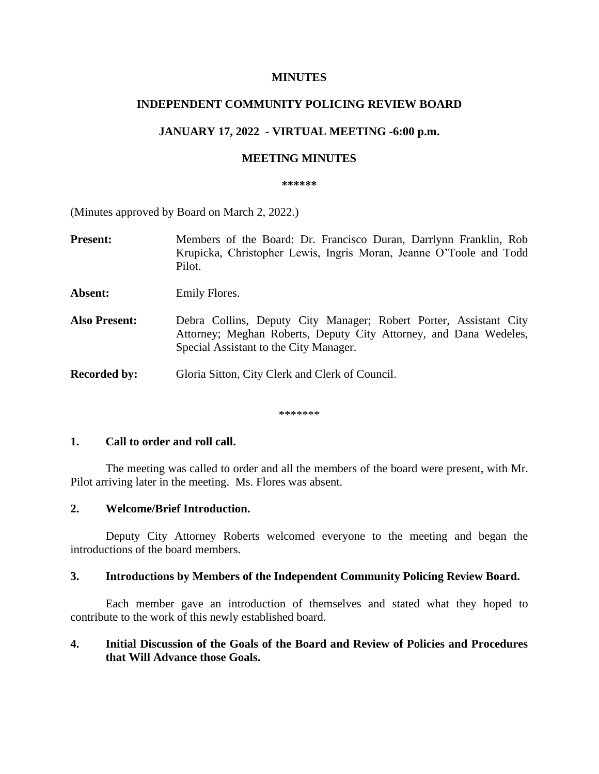## **MINUTES**

# **INDEPENDENT COMMUNITY POLICING REVIEW BOARD**

# **JANUARY 17, 2022 - VIRTUAL MEETING -6:00 p.m.**

### **MEETING MINUTES**

#### **\*\*\*\*\*\***

(Minutes approved by Board on March 2, 2022.)

**Present:** Members of the Board: Dr. Francisco Duran, Darrlynn Franklin, Rob Krupicka, Christopher Lewis, Ingris Moran, Jeanne O'Toole and Todd Pilot.

Absent: Emily Flores.

**Also Present:** Debra Collins, Deputy City Manager; Robert Porter, Assistant City Attorney; Meghan Roberts, Deputy City Attorney, and Dana Wedeles, Special Assistant to the City Manager.

**Recorded by:** Gloria Sitton, City Clerk and Clerk of Council.

\*\*\*\*\*\*\*

## **1. Call to order and roll call.**

The meeting was called to order and all the members of the board were present, with Mr. Pilot arriving later in the meeting. Ms. Flores was absent.

### **2. Welcome/Brief Introduction.**

Deputy City Attorney Roberts welcomed everyone to the meeting and began the introductions of the board members.

# **3. Introductions by Members of the Independent Community Policing Review Board.**

Each member gave an introduction of themselves and stated what they hoped to contribute to the work of this newly established board.

## **4. Initial Discussion of the Goals of the Board and Review of Policies and Procedures that Will Advance those Goals.**